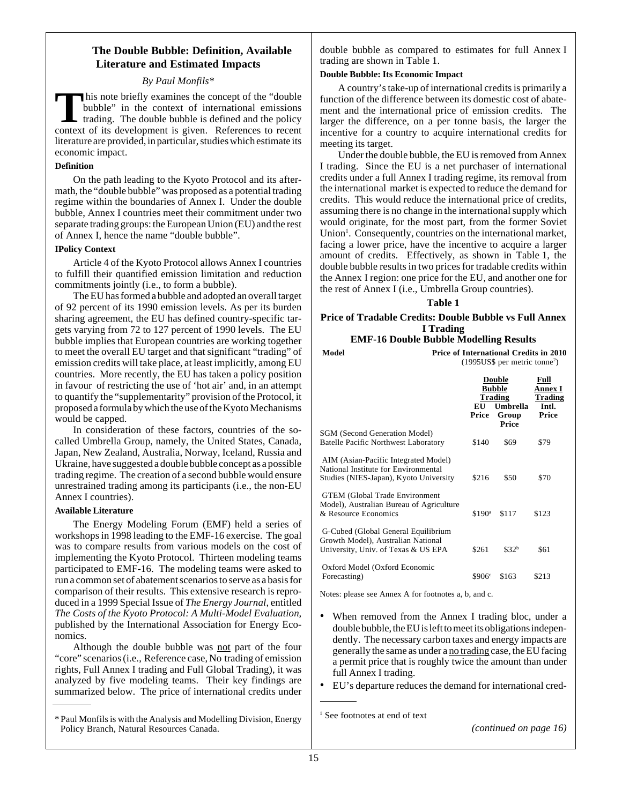# **The Double Bubble: Definition, Available Literature and Estimated Impacts**

# *By Paul Monfils\**

This note briefly examines the concept of the "double"<br>bubble" in the context of international emissions<br>trading. The double bubble is defined and the policy<br>context of its development is given. References to recent bubble" in the context of international emissions trading. The double bubble is defined and the policy context of its development is given. References to recent literature are provided, in particular, studies which estimate its economic impact.

## **Definition**

On the path leading to the Kyoto Protocol and its aftermath, the "double bubble" was proposed as a potential trading regime within the boundaries of Annex I. Under the double bubble, Annex I countries meet their commitment under two separate trading groups: the European Union (EU) and the rest of Annex I, hence the name "double bubble".

# **IPolicy Context**

Article 4 of the Kyoto Protocol allows Annex I countries to fulfill their quantified emission limitation and reduction commitments jointly (i.e., to form a bubble).

The EU has formed a bubble and adopted an overall target of 92 percent of its 1990 emission levels. As per its burden sharing agreement, the EU has defined country-specific targets varying from 72 to 127 percent of 1990 levels. The EU bubble implies that European countries are working together to meet the overall EU target and that significant "trading" of emission credits will take place, at least implicitly, among EU countries. More recently, the EU has taken a policy position in favour of restricting the use of 'hot air' and, in an attempt to quantify the "supplementarity" provision of the Protocol, it proposed a formula by which the use of the Kyoto Mechanisms would be capped.

In consideration of these factors, countries of the socalled Umbrella Group, namely, the United States, Canada, Japan, New Zealand, Australia, Norway, Iceland, Russia and Ukraine, have suggested a double bubble concept as a possible trading regime. The creation of a second bubble would ensure unrestrained trading among its participants (i.e., the non-EU Annex I countries).

## **Available Literature**

The Energy Modeling Forum (EMF) held a series of workshops in 1998 leading to the EMF-16 exercise. The goal was to compare results from various models on the cost of implementing the Kyoto Protocol. Thirteen modeling teams participated to EMF-16. The modeling teams were asked to run a common set of abatement scenarios to serve as a basis for comparison of their results. This extensive research is reproduced in a 1999 Special Issue of *The Energy Journal*, entitled *The Costs of the Kyoto Protocol: A Multi-Model Evaluation*, published by the International Association for Energy Economics.

Although the double bubble was not part of the four "core" scenarios (i.e., Reference case, No trading of emission rights, Full Annex I trading and Full Global Trading), it was analyzed by five modeling teams. Their key findings are summarized below. The price of international credits under

double bubble as compared to estimates for full Annex I trading are shown in Table 1.

# **Double Bubble: Its Economic Impact**

A country's take-up of international credits is primarily a function of the difference between its domestic cost of abatement and the international price of emission credits. The larger the difference, on a per tonne basis, the larger the incentive for a country to acquire international credits for meeting its target.

Under the double bubble, the EU is removed from Annex I trading. Since the EU is a net purchaser of international credits under a full Annex I trading regime, its removal from the international market is expected to reduce the demand for credits. This would reduce the international price of credits, assuming there is no change in the international supply which would originate, for the most part, from the former Soviet Union<sup>1</sup>. Consequently, countries on the international market, facing a lower price, have the incentive to acquire a larger amount of credits. Effectively, as shown in Table 1, the double bubble results in two prices for tradable credits within the Annex I region: one price for the EU, and another one for the rest of Annex I (i.e., Umbrella Group countries).

# **Table 1**

# **Price of Tradable Credits: Double Bubble vs Full Annex I Trading**

# **EMF-16 Double Bubble Modelling Results**

| Model                                                                                                                  | Price of International Credits in 2010<br>$(1995US\$ per metric tonne <sup>2</sup> ) |                                                                         |                                                     |  |
|------------------------------------------------------------------------------------------------------------------------|--------------------------------------------------------------------------------------|-------------------------------------------------------------------------|-----------------------------------------------------|--|
|                                                                                                                        | EU<br>Price                                                                          | <b>Double</b><br><b>Bubble</b><br>Trading<br>Umbrella<br>Group<br>Price | Full<br>Annex I<br><b>Trading</b><br>Intl.<br>Price |  |
| <b>SGM (Second Generation Model)</b><br><b>Batelle Pacific Northwest Laboratory</b>                                    | \$140                                                                                | \$69                                                                    | \$79                                                |  |
| AIM (Asian-Pacific Integrated Model)<br>National Institute for Environmental<br>Studies (NIES-Japan), Kyoto University | \$216                                                                                | \$50                                                                    | \$70                                                |  |
| <b>GTEM</b> (Global Trade Environment<br>Model), Australian Bureau of Agriculture<br>& Resource Economics              | \$190 <sup>a</sup>                                                                   | \$117                                                                   | \$123                                               |  |
| G-Cubed (Global General Equilibrium<br>Growth Model), Australian National<br>University, Univ. of Texas & US EPA       | \$261                                                                                | \$32 <sup>b</sup>                                                       | \$61                                                |  |
| Oxford Model (Oxford Economic<br>Forecasting)                                                                          | \$906°                                                                               | \$163                                                                   | \$213                                               |  |

Notes: please see Annex A for footnotes a, b, and c.

- When removed from the Annex I trading bloc, under a double bubble, the EU is left to meet its obligations independently. The necessary carbon taxes and energy impacts are generally the same as under a no trading case, the EU facing a permit price that is roughly twice the amount than under full Annex I trading.
- EU's departure reduces the demand for international cred-

<sup>\*</sup> Paul Monfils is with the Analysis and Modelling Division, Energy Policy Branch, Natural Resources Canada. *(continued on page 16)*

<sup>&</sup>lt;sup>1</sup> See footnotes at end of text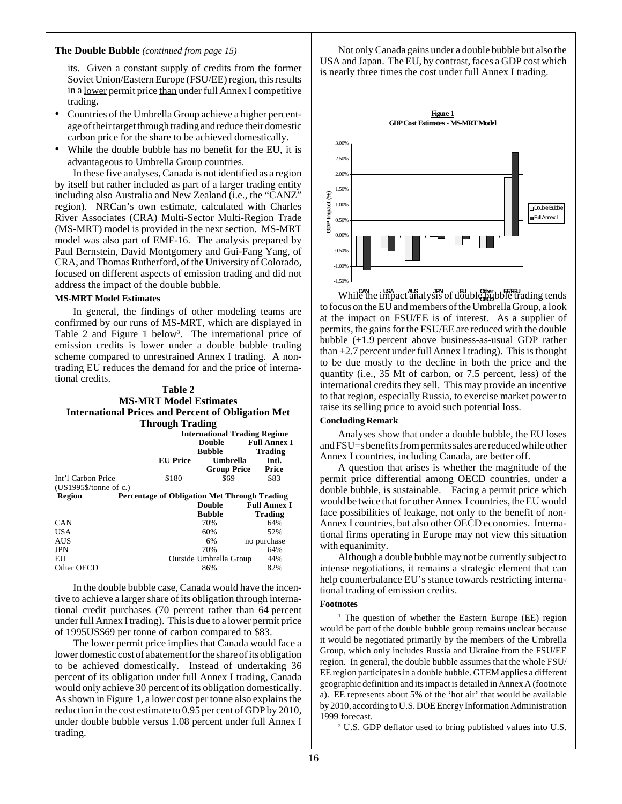## **The Double Bubble** *(continued from page 15)*

its. Given a constant supply of credits from the former Soviet Union/Eastern Europe (FSU/EE) region, this results in a lower permit price than under full Annex I competitive trading.

- Countries of the Umbrella Group achieve a higher percentage of their target through trading and reduce their domestic carbon price for the share to be achieved domestically.
- While the double bubble has no benefit for the EU, it is advantageous to Umbrella Group countries.

In these five analyses, Canada is not identified as a region by itself but rather included as part of a larger trading entity including also Australia and New Zealand (i.e., the "CANZ" region). NRCan's own estimate, calculated with Charles River Associates (CRA) Multi-Sector Multi-Region Trade (MS-MRT) model is provided in the next section. MS-MRT model was also part of EMF-16. The analysis prepared by Paul Bernstein, David Montgomery and Gui-Fang Yang, of CRA, and Thomas Rutherford, of the University of Colorado, focused on different aspects of emission trading and did not address the impact of the double bubble.

### **MS-MRT Model Estimates**

In general, the findings of other modeling teams are confirmed by our runs of MS-MRT, which are displayed in Table 2 and Figure 1 below<sup>3</sup>. The international price of emission credits is lower under a double bubble trading scheme compared to unrestrained Annex I trading. A nontrading EU reduces the demand for and the price of international credits.

### **Table 2 MS-MRT Model Estimates International Prices and Percent of Obligation Met Through Trading**

|                                   | o               |                                                     |                     |  |
|-----------------------------------|-----------------|-----------------------------------------------------|---------------------|--|
|                                   |                 | <b>International Trading Regime</b>                 |                     |  |
|                                   |                 | <b>Double</b>                                       | <b>Full Annex I</b> |  |
|                                   |                 | <b>Bubble</b>                                       | <b>Trading</b>      |  |
|                                   | <b>EU</b> Price | Umbrella                                            | Intl.               |  |
|                                   |                 | <b>Group Price</b>                                  | Price               |  |
| Int'l Carbon Price                | \$180           | \$69                                                | \$83                |  |
| $(US1995\% / \text{tonne of c.})$ |                 |                                                     |                     |  |
| Region                            |                 | <b>Percentage of Obligation Met Through Trading</b> |                     |  |
|                                   |                 | Double                                              | <b>Full Annex I</b> |  |
|                                   |                 | <b>Bubble</b>                                       | Trading             |  |
| <b>CAN</b>                        |                 | 70%                                                 | 64%                 |  |
| <b>USA</b>                        |                 | 60%                                                 | 52%                 |  |
| <b>AUS</b>                        |                 | 6%                                                  | no purchase         |  |
| <b>JPN</b>                        |                 | 70%                                                 | 64%                 |  |
| EU                                |                 | Outside Umbrella Group                              | 44%                 |  |
| Other OECD                        |                 | 86%                                                 | 82%                 |  |
|                                   |                 |                                                     |                     |  |

In the double bubble case, Canada would have the incentive to achieve a larger share of its obligation through international credit purchases (70 percent rather than 64 percent under full Annex I trading). This is due to a lower permit price of 1995US\$69 per tonne of carbon compared to \$83.

The lower permit price implies that Canada would face a lower domestic cost of abatement for the share of its obligation to be achieved domestically. Instead of undertaking 36 percent of its obligation under full Annex I trading, Canada would only achieve 30 percent of its obligation domestically. As shown in Figure 1, a lower cost per tonne also explains the reduction in the cost estimate to 0.95 per cent of GDP by 2010, under double bubble versus 1.08 percent under full Annex I trading.

Not only Canada gains under a double bubble but also the USA and Japan. The EU, by contrast, faces a GDP cost which is nearly three times the cost under full Annex I trading.



While the impact analysis of double bubble trading tends to focus on the EU and members of the Umbrella Group, a look at the impact on FSU/EE is of interest. As a supplier of permits, the gains for the FSU/EE are reduced with the double bubble (+1.9 percent above business-as-usual GDP rather than  $+2.7$  percent under full Annex I trading). This is thought to be due mostly to the decline in both the price and the quantity (i.e., 35 Mt of carbon, or 7.5 percent, less) of the international credits they sell. This may provide an incentive to that region, especially Russia, to exercise market power to raise its selling price to avoid such potential loss. **OECD EE/FSU**

### **Concluding Remark**

Analyses show that under a double bubble, the EU loses and FSU=s benefits from permits sales are reduced while other Annex I countries, including Canada, are better off.

A question that arises is whether the magnitude of the permit price differential among OECD countries, under a double bubble, is sustainable. Facing a permit price which would be twice that for other Annex I countries, the EU would face possibilities of leakage, not only to the benefit of non-Annex I countries, but also other OECD economies. International firms operating in Europe may not view this situation with equanimity.

Although a double bubble may not be currently subject to intense negotiations, it remains a strategic element that can help counterbalance EU's stance towards restricting international trading of emission credits.

### **Footnotes**

<sup>1</sup> The question of whether the Eastern Europe (EE) region would be part of the double bubble group remains unclear because it would be negotiated primarily by the members of the Umbrella Group, which only includes Russia and Ukraine from the FSU/EE region. In general, the double bubble assumes that the whole FSU/ EE region participates in a double bubble. GTEM applies a different geographic definition and its impact is detailed in Annex A (footnote a). EE represents about 5% of the 'hot air' that would be available by 2010, according to U.S. DOE Energy Information Administration 1999 forecast.

<sup>2</sup> U.S. GDP deflator used to bring published values into U.S.